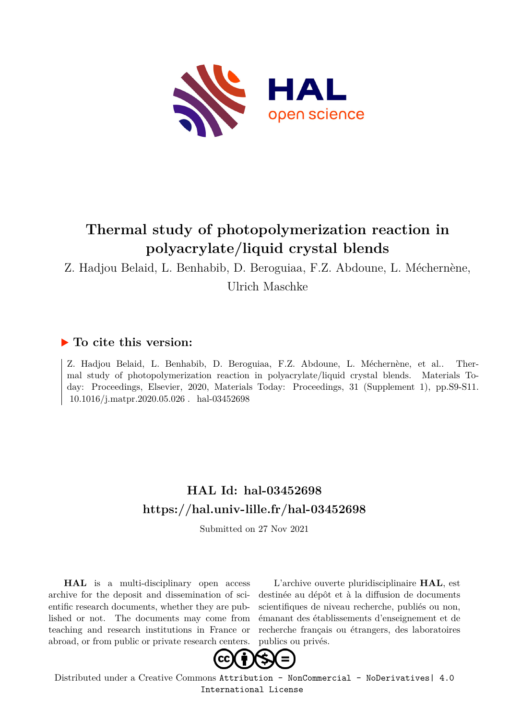

# **Thermal study of photopolymerization reaction in polyacrylate/liquid crystal blends**

Z. Hadjou Belaid, L. Benhabib, D. Beroguiaa, F.Z. Abdoune, L. Méchernène, Ulrich Maschke

## **To cite this version:**

Z. Hadjou Belaid, L. Benhabib, D. Beroguiaa, F.Z. Abdoune, L. Méchernène, et al.. Thermal study of photopolymerization reaction in polyacrylate/liquid crystal blends. Materials Today: Proceedings, Elsevier, 2020, Materials Today: Proceedings, 31 (Supplement 1), pp.S9-S11. 10.1016/j.matpr.2020.05.026 hal-03452698

# **HAL Id: hal-03452698 <https://hal.univ-lille.fr/hal-03452698>**

Submitted on 27 Nov 2021

**HAL** is a multi-disciplinary open access archive for the deposit and dissemination of scientific research documents, whether they are published or not. The documents may come from teaching and research institutions in France or abroad, or from public or private research centers.

L'archive ouverte pluridisciplinaire **HAL**, est destinée au dépôt et à la diffusion de documents scientifiques de niveau recherche, publiés ou non, émanant des établissements d'enseignement et de recherche français ou étrangers, des laboratoires publics ou privés.



Distributed under a Creative Commons [Attribution - NonCommercial - NoDerivatives| 4.0](http://creativecommons.org/licenses/by-nc-nd/4.0/) [International License](http://creativecommons.org/licenses/by-nc-nd/4.0/)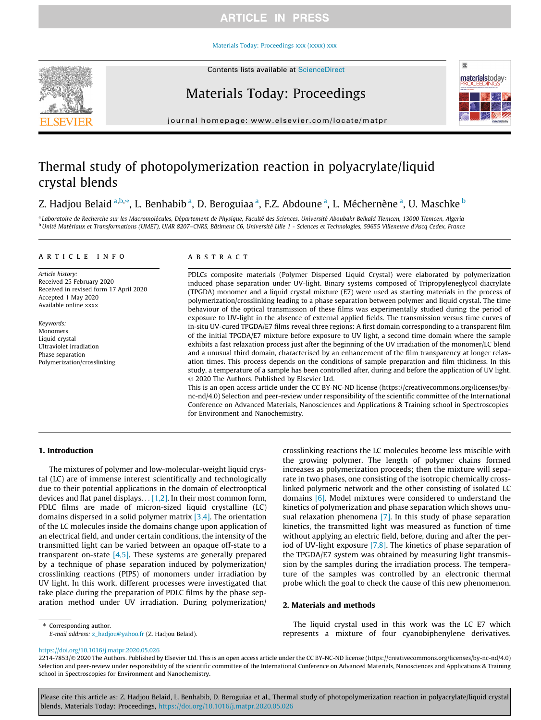### **ARTICLE IN PRESS**

#### [Materials Today: Proceedings xxx \(xxxx\) xxx](https://doi.org/10.1016/j.matpr.2020.05.026)



## Materials Today: Proceedings



journal homepage: [www.elsevier.com/locate/matpr](http://www.elsevier.com/locate/matpr)

## Thermal study of photopolymerization reaction in polyacrylate/liquid crystal blends

### Z. Hadjou Belaid <sup>a,b,</sup>\*, L. Benhabib <sup>a</sup>, D. Beroguiaa <sup>a</sup>, F.Z. Abdoune <sup>a</sup>, L. Méchernène <sup>a</sup>, U. Maschke <sup>b</sup>

<sup>a</sup> Laboratoire de Recherche sur les Macromolécules, Département de Physique, Faculté des Sciences, Université Aboubakr Belkaïd Tlemcen, 13000 Tlemcen, Algeria <sup>b</sup> Unité Matériaux et Transformations (UMET), UMR 8207-CNRS, Bâtiment C6, Université Lille 1 - Sciences et Technologies, 59655 Villeneuve d'Ascq Cedex, France

#### article info

Article history: Received 25 February 2020 Received in revised form 17 April 2020 Accepted 1 May 2020 Available online xxxx

Keywords: Monomers Liquid crystal Ultraviolet irradiation Phase separation Polymerization/crosslinking

#### ABSTRACT

PDLCs composite materials (Polymer Dispersed Liquid Crystal) were elaborated by polymerization induced phase separation under UV-light. Binary systems composed of Tripropyleneglycol diacrylate (TPGDA) monomer and a liquid crystal mixture (E7) were used as starting materials in the process of polymerization/crosslinking leading to a phase separation between polymer and liquid crystal. The time behaviour of the optical transmission of these films was experimentally studied during the period of exposure to UV-light in the absence of external applied fields. The transmission versus time curves of in-situ UV-cured TPGDA/E7 films reveal three regions: A first domain corresponding to a transparent film of the initial TPGDA/E7 mixture before exposure to UV light, a second time domain where the sample exhibits a fast relaxation process just after the beginning of the UV irradiation of the monomer/LC blend and a unusual third domain, characterised by an enhancement of the film transparency at longer relaxation times. This process depends on the conditions of sample preparation and film thickness. In this study, a temperature of a sample has been controlled after, during and before the application of UV light. 2020 The Authors. Published by Elsevier Ltd.

This is an open access article under the CC BY-NC-ND license (https://creativecommons.org/licenses/bync-nd/4.0) Selection and peer-review under responsibility of the scientific committee of the International Conference on Advanced Materials, Nanosciences and Applications & Training school in Spectroscopies for Environment and Nanochemistry.

#### 1. Introduction

The mixtures of polymer and low-molecular-weight liquid crystal (LC) are of immense interest scientifically and technologically due to their potential applications in the domain of electrooptical devices and flat panel displays... [1,2]. In their most common form, PDLC films are made of micron-sized liquid crystalline (LC) domains dispersed in a solid polymer matrix [3,4]. The orientation of the LC molecules inside the domains change upon application of an electrical field, and under certain conditions, the intensity of the transmitted light can be varied between an opaque off-state to a transparent on-state  $[4,5]$ . These systems are generally prepared by a technique of phase separation induced by polymerization/ crosslinking reactions (PIPS) of monomers under irradiation by UV light. In this work, different processes were investigated that take place during the preparation of PDLC films by the phase separation method under UV irradiation. During polymerization/

crosslinking reactions the LC molecules become less miscible with the growing polymer. The length of polymer chains formed increases as polymerization proceeds; then the mixture will separate in two phases, one consisting of the isotropic chemically crosslinked polymeric network and the other consisting of isolated LC domains [6]. Model mixtures were considered to understand the kinetics of polymerization and phase separation which shows unusual relaxation phenomena [7]. In this study of phase separation kinetics, the transmitted light was measured as function of time without applying an electric field, before, during and after the period of UV-light exposure [7,8]. The kinetics of phase separation of the TPGDA/E7 system was obtained by measuring light transmission by the samples during the irradiation process. The temperature of the samples was controlled by an electronic thermal probe which the goal to check the cause of this new phenomenon.

#### 2. Materials and methods

⇑ Corresponding author.

E-mail address: [z\\_hadjou@yahoo.fr](mailto:z_hadjou@yahoo.fr) (Z. Hadjou Belaid).

The liquid crystal used in this work was the LC E7 which represents a mixture of four cyanobiphenylene derivatives.

<https://doi.org/10.1016/j.matpr.2020.05.026>

2214-7853/© 2020 The Authors. Published by Elsevier Ltd. This is an open access article under the CC BY-NC-ND license (https://creativecommons.org/licenses/by-nc-nd/4.0) Selection and peer-review under responsibility of the scientific committee of the International Conference on Advanced Materials, Nanosciences and Applications & Training school in Spectroscopies for Environment and Nanochemistry.

Please cite this article as: Z. Hadjou Belaid, L. Benhabib, D. Beroguiaa et al., Thermal study of photopolymerization reaction in polyacrylate/liquid crystal blends, Materials Today: Proceedings, <https://doi.org/10.1016/j.matpr.2020.05.026>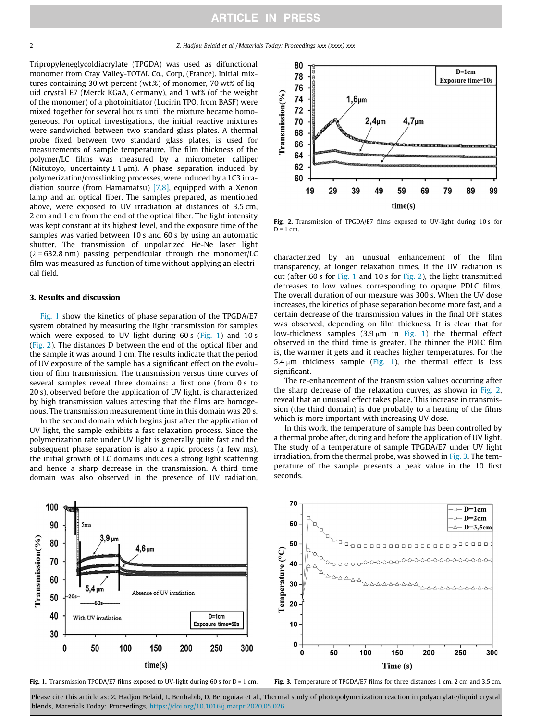Tripropyleneglycoldiacrylate (TPGDA) was used as difunctional monomer from Cray Valley-TOTAL Co., Corp, (France). Initial mixtures containing 30 wt-percent (wt.%) of monomer, 70 wt% of liquid crystal E7 (Merck KGaA, Germany), and 1 wt% (of the weight of the monomer) of a photoinitiator (Lucirin TPO, from BASF) were mixed together for several hours until the mixture became homogeneous. For optical investigations, the initial reactive mixtures were sandwiched between two standard glass plates. A thermal probe fixed between two standard glass plates, is used for measurements of sample temperature. The film thickness of the polymer/LC films was measured by a micrometer calliper (Mitutoyo, uncertainty  $\pm 1 \mu m$ ). A phase separation induced by polymerization/crosslinking processes, were induced by a LC3 irradiation source (from Hamamatsu) [7,8], equipped with a Xenon lamp and an optical fiber. The samples prepared, as mentioned above, were exposed to UV irradiation at distances of 3.5 cm, 2 cm and 1 cm from the end of the optical fiber. The light intensity was kept constant at its highest level, and the exposure time of the samples was varied between 10 s and 60 s by using an automatic shutter. The transmission of unpolarized He-Ne laser light  $(\lambda = 632.8 \text{ nm})$  passing perpendicular through the monomer/LC film was measured as function of time without applying an electrical field.

#### 3. Results and discussion

Fig. 1 show the kinetics of phase separation of the TPGDA/E7 system obtained by measuring the light transmission for samples which were exposed to UV light during 60 s (Fig. 1) and 10 s (Fig. 2). The distances D between the end of the optical fiber and the sample it was around 1 cm. The results indicate that the period of UV exposure of the sample has a significant effect on the evolution of film transmission. The transmission versus time curves of several samples reveal three domains: a first one (from 0 s to 20 s), observed before the application of UV light, is characterized by high transmission values attesting that the films are homogenous. The transmission measurement time in this domain was 20 s.

In the second domain which begins just after the application of UV light, the sample exhibits a fast relaxation process. Since the polymerization rate under UV light is generally quite fast and the subsequent phase separation is also a rapid process (a few ms), the initial growth of LC domains induces a strong light scattering and hence a sharp decrease in the transmission. A third time domain was also observed in the presence of UV radiation,



Fig. 2. Transmission of TPGDA/E7 films exposed to UV-light during 10 s for  $D = 1$  cm.

characterized by an unusual enhancement of the film transparency, at longer relaxation times. If the UV radiation is cut (after 60 s for Fig. 1 and 10 s for Fig. 2), the light transmitted decreases to low values corresponding to opaque PDLC films. The overall duration of our measure was 300 s. When the UV dose increases, the kinetics of phase separation become more fast, and a certain decrease of the transmission values in the final OFF states was observed, depending on film thickness. It is clear that for low-thickness samples  $(3.9 \mu m)$  in Fig. 1) the thermal effect observed in the third time is greater. The thinner the PDLC film is, the warmer it gets and it reaches higher temperatures. For the 5.4  $\mu$ m thickness sample (Fig. 1), the thermal effect is less significant.

The re-enhancement of the transmission values occurring after the sharp decrease of the relaxation curves, as shown in Fig. 2, reveal that an unusual effect takes place. This increase in transmission (the third domain) is due probably to a heating of the films which is more important with increasing UV dose.

In this work, the temperature of sample has been controlled by a thermal probe after, during and before the application of UV light. The study of a temperature of sample TPGDA/E7 under UV light irradiation, from the thermal probe, was showed in Fig. 3. The temperature of the sample presents a peak value in the 10 first seconds.



Fig. 1. Transmission TPGDA/E7 films exposed to UV-light during 60 s for D = 1 cm.

Fig. 3. Temperature of TPGDA/E7 films for three distances 1 cm, 2 cm and 3.5 cm.

Please cite this article as: Z. Hadjou Belaid, L. Benhabib, D. Beroguiaa et al., Thermal study of photopolymerization reaction in polyacrylate/liquid crystal blends, Materials Today: Proceedings, <https://doi.org/10.1016/j.matpr.2020.05.026>